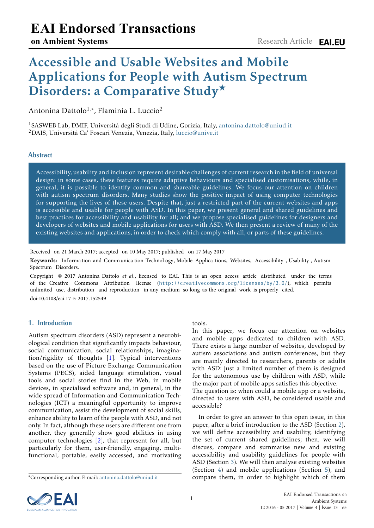# Accessible and Usable Websites and Mobile Applications for People with Autism Spectrum Disorders: a Comparative Study★

Antonina Dattolo<sup>1,</sup>\*, Flaminia L. Luccio<sup>2</sup>

<sup>1</sup>SASWEB Lab, DMIF, Università degli Studi di Udine, Gorizia, Italy, [antonina.dattolo@uniud.it](mailto:<antonina.dattolo@uniud.it>) <sup>2</sup>DAIS, Università Ca' Foscari Venezia, Venezia, Italy, [luccio@unive.it](mailto:<luccio@unive.it>)

# **Abstract**

Accessibility, usability and inclusion represent desirable challenges of current research in the field of universal design: in some cases, these features require adaptive behaviours and specialised customisations, while, in general, it is possible to identify common and shareable guidelines. We focus our attention on children with autism spectrum disorders. Many studies show the positive impact of using computer technologies for supporting the lives of these users. Despite that, just a restricted part of the current websites and apps is accessible and usable for people with ASD. In this paper, we present general and shared guidelines and best practices for accessibility and usability for all; and we propose specialised guidelines for designers and developers of websites and mobile applications for users with ASD. We then present a review of many of the existing websites and applications, in order to check which comply with all, or parts of these guidelines.

Received on 21 March 2017; accepted on 10 May 2017; published on 17 May 2017

Keywords: Information and Communication Technol ogy, Mobile Applications, Websites, Accessibility, Usability, Autism Spectrum Disorders.

Copyright © 2017 Antonina Dattolo *et al.*, licensed to EAI. This is an open access article distributed under the terms of the Creative Commons Attribution license (http://creativecommons.org/licenses/by/3.0/), which permits unlimited use, distribution and reproductio[n in any medium so long as the original work is prop](http://creativecommons.org/licenses/by/3.0/)erly cited. doi:10.4108/eai.17-5-2017.152549

# **1. Introduction**

Autism spectrum disorders (ASD) represent a neurobiological condition that significantly impacts behaviour, social communication, social relationships, imagination/rigidity of thoughts [\[1\]](#page-8-0). Typical interventions based on the use of Picture Exchange Communication Systems (PECS), aided language stimulation, visual tools and social stories find in the Web, in mobile devices, in specialised software and, in general, in the wide spread of Information and Communication Technologies (ICT) a meaningful opportunity to improve communication, assist the development of social skills, enhance ability to learn of the people with ASD, and not only. In fact, although these users are different one from another, they generally show good abilities in using computer technologies [\[2\]](#page-8-1), that represent for all, but particularly for them, user-friendly, engaging, multifunctional, portable, easily accessed, and motivating

#### tools.

In this paper, we focus our attention on websites and mobile apps dedicated to children with ASD. There exists a large number of websites, developed by autism associations and autism conferences, but they are mainly directed to researchers, parents or adults with ASD: just a limited number of them is designed for the autonomous use by children with ASD, while the major part of mobile apps satisfies this objective. The question is: when could a mobile app or a website, directed to users with ASD, be considered usable and accessible?

In order to give an answer to this open issue, in this paper, after a brief introduction to the ASD (Section [2\)](#page-1-0), we will define accessibility and usability, identifying the set of current shared guidelines; then, we will discuss, compare and summarise new and existing accessibility and usability guidelines for people with ASD (Section [3\)](#page-1-1). We will then analyse existing websites (Section [4\)](#page-7-0) and mobile applications (Section [5\)](#page-7-1), and compare them, in order to highlight which of them



<sup>∗</sup>Corresponding author. E-mail: [antonina.dattolo@uniud.it](mailto:<antonina.dattolo@uniud.it>)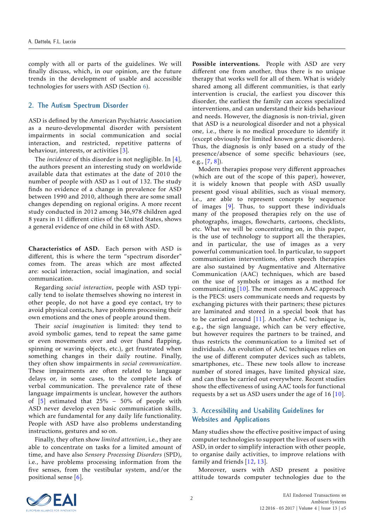comply with all or parts of the guidelines. We will finally discuss, which, in our opinion, are the future trends in the development of usable and accessible technologies for users with ASD (Section [6\)](#page-8-2).

## <span id="page-1-0"></span>**2. The Autism Spectrum Disorder**

ASD is defined by the American Psychiatric Association as a neuro-developmental disorder with persistent impairments in social communication and social interaction, and restricted, repetitive patterns of behaviour, interests, or activities  $[3]$ .

The *incidence* of this disorder is not negligible. In [\[4\]](#page-8-4), the authors present an interesting study on worldwide available data that estimates at the date of 2010 the number of people with ASD as 1 out of 132. The study finds no evidence of a change in prevalence for ASD between 1990 and 2010, although there are some small changes depending on regional origins. A more recent study conducted in 2012 among 346,978 children aged 8 years in 11 different cities of the United States, shows a general evidence of one child in 68 with ASD.

Characteristics of ASD. Each person with ASD is different, this is where the term "spectrum disorder" comes from. The areas which are most affected are: social interaction, social imagination, and social communication.

Regarding *social interaction*, people with ASD typically tend to isolate themselves showing no interest in other people, do not have a good eye contact, try to avoid physical contacts, have problems processing their own emotions and the ones of people around them.

Their *social imagination* is limited: they tend to avoid symbolic games, tend to repeat the same game or even movements over and over (hand flapping, spinning or waving objects, etc.), get frustrated when something changes in their daily routine. Finally, they often show impairments in *social communication*. These impairments are often related to language delays or, in some cases, to the complete lack of verbal communication. The prevalence rate of these language impairments is unclear, however the authors of [\[5\]](#page-8-5) estimated that 25% − 50% of people with ASD never develop even basic communication skills, which are fundamental for any daily life functionality. People with ASD have also problems understanding instructions, gestures and so on.

Finally, they often show *limited attention*, i.e., they are able to concentrate on tasks for a limited amount of time, and have also *Sensory Processing Disorders* (SPD), i.e., have problems processing information from the five senses, from the vestibular system, and/or the positional sense [\[6\]](#page-8-6).

Possible interventions. People with ASD are very different one from another, thus there is no unique therapy that works well for all of them. What is widely shared among all different communities, is that early intervention is crucial, the earliest you discover this disorder, the earliest the family can access specialized interventions, and can understand their kids behaviour and needs. However, the diagnosis is non-trivial, given that ASD is a neurological disorder and not a physical one, i.e., there is no medical procedure to identify it (except obviously for limited known genetic disorders). Thus, the diagnosis is only based on a study of the presence/absence of some specific behaviours (see, e.g., [\[7,](#page-8-7) [8\]](#page-8-8)).

Modern therapies propose very different approaches (which are out of the scope of this paper), however, it is widely known that people with ASD usually present good visual abilities, such as visual memory, i.e., are able to represent concepts by sequence of images [\[9\]](#page-8-9). Thus, to support these individuals many of the proposed therapies rely on the use of photographs, images, flowcharts, cartoons, checklists, etc. What we will be concentrating on, in this paper, is the use of technology to support all the therapies, and in particular, the use of images as a very powerful communication tool. In particular, to support communication interventions, often speech therapies are also sustained by Augmentative and Alternative Communication (AAC) techniques, which are based on the use of symbols or images as a method for communicating [\[10\]](#page-8-10). The most common AAC approach is the PECS: users communicate needs and requests by exchanging pictures with their partners; these pictures are laminated and stored in a special book that has to be carried around [\[11\]](#page-8-11). Another AAC technique is, e.g., the sign language, which can be very effective, but however requires the partners to be trained, and thus restricts the communication to a limited set of individuals. An evolution of AAC techniques relies on the use of different computer devices such as tablets, smartphones, etc.. These new tools allow to increase number of stored images, have limited physical size, and can thus be carried out everywhere. Recent studies show the effectiveness of using AAC tools for functional requests by a set us ASD users under the age of 16 [\[10\]](#page-8-10).

# <span id="page-1-1"></span>**3. Accessibility and Usability Guidelines for Websites and Applications**

Many studies show the effective positive impact of using computer technologies to support the lives of users with ASD, in order to simplify interaction with other people, to organise daily activities, to improve relations with family and friends [\[12,](#page-8-12) [13\]](#page-8-13).

Moreover, users with ASD present a positive attitude towards computer technologies due to the

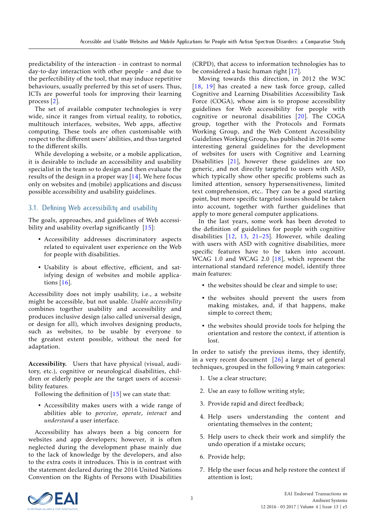predictability of the interaction - in contrast to normal day-to-day interaction with other people - and due to the perfectibility of the tool, that may induce repetitive behaviours, usually preferred by this set of users. Thus, ICTs are powerful tools for improving their learning process [\[2\]](#page-8-1).

The set of available computer technologies is very wide, since it ranges from virtual reality, to robotics, multitouch interfaces, websites, Web apps, affective computing. These tools are often customisable with respect to the different users' abilities, and thus targeted to the different skills.

While developing a website, or a mobile application, it is desirable to include an accessibility and usability specialist in the team so to design and then evaluate the results of the design in a proper way  $[14]$ . We here focus only on websites and (mobile) applications and discuss possible accessibility and usability guidelines.

## 3.1. Defining Web accessibility and usability

The goals, approaches, and guidelines of Web accessi-bility and usability overlap significantly [\[15\]](#page-8-15):

- Accessibility addresses discriminatory aspects related to equivalent user experience on the Web for people with disabilities.
- Usability is about effective, efficient, and satisfying design of websites and mobile applications [\[16\]](#page-8-16).

Accessibility does not imply usability, i.e., a website might be accessible, but not usable. *Usable accessibility* combines together usability and accessibility and produces inclusive design (also called universal design, or design for all), which involves designing products, such as websites, to be usable by everyone to the greatest extent possible, without the need for adaptation.

Accessibility. Users that have physical (visual, auditory, etc.), cognitive or neurological disabilities, children or elderly people are the target users of accessibility features.

Following the definition of  $[15]$  we can state that:

• Accessibility makes users with a wide range of abilities able to *perceive*, *operate*, *interact* and *understand* a user interface.

Accessibility has always been a big concern for websites and app developers; however, it is often neglected during the development phase mainly due to the lack of knowledge by the developers, and also to the extra costs it introduces. This is in contrast with the statement declared during the 2016 United Nations Convention on the Rights of Persons with Disabilities

(CRPD), that access to information technologies has to be considered a basic human right [\[17\]](#page-8-17).

Moving towards this direction, in 2012 the W3C [\[18,](#page-8-18) [19\]](#page-8-19) has created a new task force group, called Cognitive and Learning Disabilities Accessibility Task Force (COGA), whose aim is to propose accessibility guidelines for Web accessibility for people with cognitive or neuronal disabilities [\[20\]](#page-8-20). The COGA group, together with the Protocols and Formats Working Group, and the Web Content Accessibility Guidelines Working Group, has published in 2016 some interesting general guidelines for the development of websites for users with Cognitive and Learning Disabilities [\[21\]](#page-8-21), however these guidelines are too generic, and not directly targeted to users with ASD, which typically show other specific problems such as limited attention, sensory hypersensitiveness, limited text comprehension, etc.. They can be a good starting point, but more specific targeted issues should be taken into account, together with further guidelines that apply to more general computer applications.

In the last years, some work has been devoted to the definition of guidelines for people with cognitive disabilities [\[12,](#page-8-12) [13,](#page-8-13) [21](#page-8-21)[–25\]](#page-9-0). However, while dealing with users with ASD with cognitive disabilities, more specific features have to be taken into account. WCAG 1.0 and WCAG 2.0 [\[18\]](#page-8-18), which represent the international standard reference model, identify three main features:

- the websites should be clear and simple to use;
- the websites should prevent the users from making mistakes, and, if that happens, make simple to correct them;
- the websites should provide tools for helping the orientation and restore the context, if attention is  $l$ ost.

In order to satisfy the previous items, they identify, in a very recent document [\[26\]](#page-9-1) a large set of general techniques, grouped in the following 9 main categories:

- 1. Use a clear structure;
- 2. Use an easy to follow writing style;
- 3. Provide rapid and direct feedback;
- 4. Help users understanding the content and orientating themselves in the content;
- 5. Help users to check their work and simplify the undo operation if a mistake occurs;
- 6. Provide help;
- 7. Help the user focus and help restore the context if attention is lost;

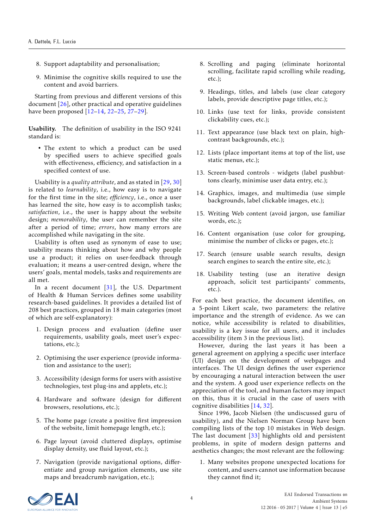- 8. Support adaptability and personalisation;
- 9. Minimise the cognitive skills required to use the content and avoid barriers.

Starting from previous and different versions of this document [\[26\]](#page-9-1), other practical and operative guidelines have been proposed [\[12–](#page-8-12)[14,](#page-8-14) [22–](#page-9-2)[25,](#page-9-0) [27–](#page-9-3)[29\]](#page-9-4).

Usability. The definition of usability in the ISO 9241 standard is:

• The extent to which a product can be used by specified users to achieve specified goals with effectiveness, efficiency, and satisfaction in a specified context of use.

Usability is a *quality attribute*, and as stated in [\[29,](#page-9-4) [30\]](#page-9-5) is related to *learnability*, i.e., how easy is to navigate for the first time in the site; *efficiency*, i.e., once a user has learned the site, how easy is to accomplish tasks; *satisfaction*, i.e., the user is happy about the website design; *memorability*, the user can remember the site after a period of time; *errors*, how many errors are accomplished while navigating in the site.

Usability is often used as synonym of ease to use; usability means thinking about how and why people use a product; it relies on user-feedback through evaluation; it means a user-centred design, where the users' goals, mental models, tasks and requirements are all met.

In a recent document [\[31\]](#page-9-6), the U.S. Department of Health & Human Services defines some usability research-based guidelines. It provides a detailed list of 208 best practices, grouped in 18 main categories (most of which are self-explanatory):

- 1. Design process and evaluation (define user requirements, usability goals, meet user's expectations, etc.);
- 2. Optimising the user experience (provide information and assistance to the user);
- 3. Accessibility (design forms for users with assistive technologies, test plug-ins and applets, etc.);
- 4. Hardware and software (design for different browsers, resolutions, etc.);
- 5. The home page (create a positive first impression of the website, limit homepage length, etc.);
- 6. Page layout (avoid cluttered displays, optimise display density, use fluid layout, etc.);
- 7. Navigation (provide navigational options, differentiate and group navigation elements, use site maps and breadcrumb navigation, etc.);
- 8. Scrolling and paging (eliminate horizontal scrolling, facilitate rapid scrolling while reading, etc.);
- 9. Headings, titles, and labels (use clear category labels, provide descriptive page titles, etc.);
- 10. Links (use text for links, provide consistent clickability cues, etc.);
- 11. Text appearance (use black text on plain, highcontrast backgrounds, etc.);
- 12. Lists (place important items at top of the list, use static menus, etc.);
- 13. Screen-based controls widgets (label pushbuttons clearly, minimise user data entry, etc.);
- 14. Graphics, images, and multimedia (use simple backgrounds, label clickable images, etc.);
- 15. Writing Web content (avoid jargon, use familiar words, etc.);
- 16. Content organisation (use color for grouping, minimise the number of clicks or pages, etc.);
- 17. Search (ensure usable search results, design search engines to search the entire site, etc.);
- 18. Usability testing (use an iterative design approach, solicit test participants' comments, etc.).

For each best practice, the document identifies, on a 5-point Likert scale, two parameters: the relative importance and the strength of evidence. As we can notice, while accessibility is related to disabilities, usability is a key issue for all users, and it includes accessibility (item 3 in the previous list).

However, during the last years it has been a general agreement on applying a specific user interface (UI) design on the development of webpages and interfaces. The UI design defines the user experience by encouraging a natural interaction between the user and the system. A good user experience reflects on the appreciation of the tool, and human factors may impact on this, thus it is crucial in the case of users with cognitive disabilities [\[14,](#page-8-14) [32\]](#page-9-7).

Since 1996, Jacob Nielsen (the undiscussed guru of usability), and the Nielsen Norman Group have been compiling lists of the top 10 mistakes in Web design. The last document [\[33\]](#page-9-8) highlights old and persistent problems, in spite of modern design patterns and aesthetics changes; the most relevant are the following:

1. Many websites propone unexpected locations for content, and users cannot use information because they cannot find it;

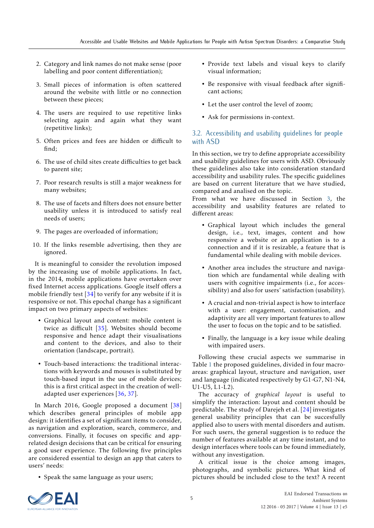- 2. Category and link names do not make sense (poor labelling and poor content differentiation);
- 3. Small pieces of information is often scattered around the website with little or no connection between these pieces;
- 4. The users are required to use repetitive links selecting again and again what they want (repetitive links);
- 5. Often prices and fees are hidden or difficult to  $find·$
- 6. The use of child sites create difficulties to get back to parent site;
- 7. Poor research results is still a major weakness for many websites;
- 8. The use of facets and filters does not ensure better usability unless it is introduced to satisfy real needs of users;
- 9. The pages are overloaded of information;
- 10. If the links resemble advertising, then they are ignored.

It is meaningful to consider the revolution imposed by the increasing use of mobile applications. In fact, in the 2014, mobile applications have overtaken over fixed Internet access applications. Google itself offers a mobile friendly test  $[34]$  to verify for any website if it is responsive or not. This epochal change has a significant impact on two primary aspects of websites:

- Graphical layout and content: mobile content is twice as difficult [\[35\]](#page-9-10). Websites should become responsive and hence adapt their visualisations and content to the devices, and also to their orientation (landscape, portrait).
- Touch-based interactions: the traditional interactions with keywords and mouses is substituted by touch-based input in the use of mobile devices; this is a first critical aspect in the creation of welladapted user experiences [\[36,](#page-9-11) [37\]](#page-9-12).

In March 2016, Google proposed a document [\[38\]](#page-9-13) which describes general principles of mobile app design: it identifies a set of significant items to consider, as navigation and exploration, search, commerce, and conversions. Finally, it focuses on specific and apprelated design decisions that can be critical for ensuring a good user experience. The following five principles are considered essential to design an app that caters to users' needs:

• Speak the same language as your users;

- Provide text labels and visual keys to clarify visual information;
- Be responsive with visual feedback after significant actions;
- Let the user control the level of zoom;
- Ask for permissions in-context.

# 3.2. Accessibility and usability guidelines for people with ASD

In this section, we try to define appropriate accessibility and usability guidelines for users with ASD. Obviously these guidelines also take into consideration standard accessibility and usability rules. The specific guidelines are based on current literature that we have studied, compared and analised on the topic.

From what we have discussed in Section [3,](#page-1-1) the accessibility and usability features are related to different areas:

- Graphical layout which includes the general design, i.e., text, images, content and how responsive a website or an application is to a connection and if it is resizable, a feature that is fundamental while dealing with mobile devices.
- Another area includes the structure and navigation which are fundamental while dealing with users with cognitive impairments (i.e., for accessibility) and also for users' satisfaction (usability).
- A crucial and non-trivial aspect is how to interface with a user: engagement, customisation, and adaptivity are all very important features to allow the user to focus on the topic and to be satisfied.
- Finally, the language is a key issue while dealing with impaired users.

Following these crucial aspects we summarise in Table [1](#page-5-0) the proposed guidelines, divided in four macroareas: graphical layout, structure and navigation, user and language (indicated respectively by G1-G7, N1-N4, U1-U5, L1-L2).

The accuracy of *graphical layout* is useful to simplify the interaction: layout and content should be predictable. The study of Darejeh et al. [\[24\]](#page-9-14) investigates general usability principles that can be succesfully applied also to users with mental disorders and autism. For such users, the general suggestion is to reduce the number of features available at any time instant, and to design interfaces where tools can be found immediately, without any investigation.

A critical issue is the choice among images, photographs, and symbolic pictures. What kind of pictures should be included close to the text? A recent

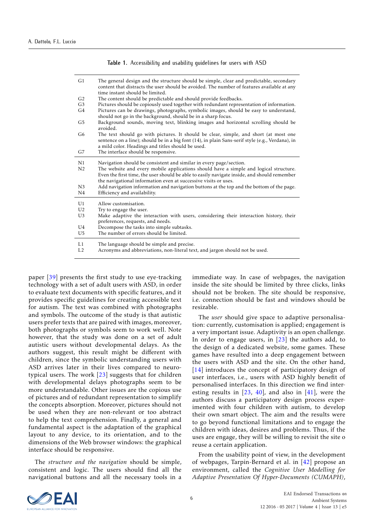<span id="page-5-0"></span>

| G1                                     | The general design and the structure should be simple, clear and predictable, secondary<br>content that distracts the user should be avoided. The number of features available at any<br>time instant should be limited.                                                                                                      |
|----------------------------------------|-------------------------------------------------------------------------------------------------------------------------------------------------------------------------------------------------------------------------------------------------------------------------------------------------------------------------------|
| G <sub>2</sub>                         | The content should be predictable and should provide feedbacks.                                                                                                                                                                                                                                                               |
| G <sub>3</sub>                         | Pictures should be copiously used together with redundant representation of information.                                                                                                                                                                                                                                      |
| G4                                     | Pictures can be drawings, photographs, symbolic images, should be easy to understand,<br>should not go in the background, should be in a sharp focus.                                                                                                                                                                         |
| G5                                     | Background sounds, moving text, blinking images and horizontal scrolling should be<br>avoided.                                                                                                                                                                                                                                |
| G6                                     | The text should go with pictures. It should be clear, simple, and short (at most one<br>sentence on a line); should be in a big font (14), in plain Sans-serif style (e.g., Verdana), in<br>a mild color. Headings and titles should be used.                                                                                 |
| G7                                     | The interface should be responsive.                                                                                                                                                                                                                                                                                           |
| N1<br>N <sub>2</sub>                   | Navigation should be consistent and similar in every page/section.<br>The website and every mobile applications should have a simple and logical structure.<br>Even the first time, the user should be able to easily navigate inside, and should remember<br>the navigational information even at successive visits or uses. |
| N <sub>3</sub><br>N <sub>4</sub>       | Add navigation information and navigation buttons at the top and the bottom of the page.<br>Efficiency and availability.                                                                                                                                                                                                      |
| U1<br>U <sub>2</sub><br>U <sub>3</sub> | Allow customisation.<br>Try to engage the user.<br>Make adaptive the interaction with users, considering their interaction history, their                                                                                                                                                                                     |
|                                        | preferences, requests, and needs.                                                                                                                                                                                                                                                                                             |
| U4                                     | Decompose the tasks into simple subtasks.                                                                                                                                                                                                                                                                                     |
| U5                                     | The number of errors should be limited.                                                                                                                                                                                                                                                                                       |
| L1<br>L2                               | The language should be simple and precise.<br>Acronyms and abbreviations, non-literal text, and jargon should not be used.                                                                                                                                                                                                    |

**Table 1.** Accessibility and usability guidelines for users with ASD

paper [\[39\]](#page-9-15) presents the first study to use eye-tracking technology with a set of adult users with ASD, in order to evaluate text documents with specific features, and it provides specific guidelines for creating accessible text for autism. The text was combined with photographs and symbols. The outcome of the study is that autistic users prefer texts that are paired with images, moreover, both photographs or symbols seem to work well. Note however, that the study was done on a set of adult autistic users without developmental delays. As the authors suggest, this result might be different with children, since the symbolic understanding users with ASD arrives later in their lives compared to neurotypical users. The work [\[23\]](#page-9-16) suggests that for children with developmental delays photographs seem to be more understandable. Other issues are the copious use of pictures and of redundant representation to simplify the concepts absorption. Moreover, pictures should not be used when they are non-relevant or too abstract to help the text comprehension. Finally, a general and fundamental aspect is the adaptation of the graphical layout to any device, to its orientation, and to the dimensions of the Web browser windows: the graphical interface should be responsive.

The *structure and the navigation* should be simple, consistent and logic. The users should find all the navigational buttons and all the necessary tools in a

immediate way. In case of webpages, the navigation inside the site should be limited by three clicks, links should not be broken. The site should be responsive, i.e. connection should be fast and windows should be resizable.

The *user* should give space to adaptive personalisation: currently, customisation is applied; engagement is a very important issue. Adaptivity is an open challenge. In order to engage users, in [\[23\]](#page-9-16) the authors add, to the design of a dedicated website, some games. These games have resulted into a deep engagement between the users with ASD and the site. On the other hand, [\[14\]](#page-8-14) introduces the concept of participatory design of user interfaces, i.e., users with ASD highly benefit of personalised interfaces. In this direction we find interesting results in [\[23,](#page-9-16) [40\]](#page-9-17), and also in [\[41\]](#page-9-18), were the authors discuss a participatory design process experimented with four children with autism, to develop their own smart object. The aim and the results were to go beyond functional limitations and to engage the children with ideas, desires and problems. Thus, if the uses are engage, they will be willing to revisit the site o reuse a certain application.

From the usability point of view, in the development of webpages, Tarpin-Bernard et al. in [\[42\]](#page-9-19) propose an environment, called the *Cognitive User Modelling for Adaptive Presentation Of Hyper-Documents (CUMAPH)*,

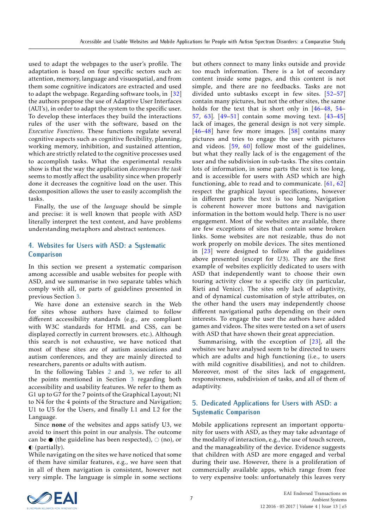used to adapt the webpages to the user's profile. The adaptation is based on four specific sectors such as: attention, memory, language and visuospatial, and from them some cognitive indicators are extracted and used to adapt the webpage. Regarding software tools, in [\[32\]](#page-9-7) the authors propose the use of Adaptive User Interfaces (AUI's), in order to adapt the system to the specific user. To develop these interfaces they build the interactions rules of the user with the software, based on the *Executive Functions*. These functions regulate several cognitive aspects such as cognitive flexibility, planning, working memory, inhibition, and sustained attention, which are strictly related to the cognitive processes used to accomplish tasks. What the experimental results show is that the way the application *decomposes the task* seems to mostly affect the usability since when properly done it decreases the cognitive load on the user. This decomposition allows the user to easily accomplish the tasks.

Finally, the use of the *language* should be simple and precise: it is well known that people with ASD literally interpret the text content, and have problems understanding metaphors and abstract sentences.

# **4. Websites for Users with ASD: a Systematic Comparison**

In this section we present a systematic comparison among accessible and usable websites for people with ASD, and we summarise in two separate tables which comply with all, or parts of guidelines presented in previous Section [3.](#page-1-1)

We have done an extensive search in the Web for sites whose authors have claimed to follow different accessibility standards (e.g., are compliant with W3C standards for HTML and CSS, can be displayed correctly in current browsers. etc.). Although this search is not exhaustive, we have noticed that most of these sites are of autism associations and autism conferences, and they are mainly directed to researchers, parents or adults with autism.

In the following Tables [2](#page-7-0) and [3,](#page-7-1) we refer to all the points mentioned in Section [3](#page-1-1) regarding both accessibility and usability features. We refer to them as G1 up to G7 for the 7 points of the Graphical Layout; N1 to N4 for the 4 points of the Structure and Navigation; U1 to U5 for the Users, and finally L1 and L2 for the Language.

Since none of the websites and apps satisfy U3, we avoid to insert this point in our analysis. The outcome can be  $\bullet$  (the guideline has been respected),  $\circ$  (no), or  $\bullet$  (partially).

While navigating on the sites we have noticed that some of them have similar features, e.g., we have seen that in all of them navigation is consistent, however not very simple. The language is simple in some sections but others connect to many links outside and provide too much information. There is a lot of secondary content inside some pages, and this content is not simple, and there are no feedbacks. Tasks are not divided unto subtasks except in few sites. [\[52–](#page-9-20)[57\]](#page-9-21) contain many pictures, but not the other sites, the same holds for the text that is short only in [\[46](#page-9-22)[–48,](#page-9-23) [54–](#page-9-24) [57,](#page-9-21) [63\]](#page-9-25). [\[49](#page-9-26)[–51\]](#page-9-27) contain some moving text. [\[43–](#page-9-28)[45\]](#page-9-29) lack of images, the general design is not very simple.  $[46-48]$  $[46-48]$  have few more images.  $[58]$  contains many pictures and tries to engage the user with pictures and videos. [\[59,](#page-9-31) [60\]](#page-9-32) follow most of the guidelines, but what they really lack of is the engagement of the user and the subdivision in sub-tasks. The sites contain lots of information, in some parts the text is too long, and is accessible for users with ASD which are high functioning, able to read and to communicate. [\[61,](#page-9-33) [62\]](#page-9-34) respect the graphical layout specifications, however in different parts the text is too long. Navigation is coherent however more buttons and navigation information in the bottom would help. There is no user engagement. Most of the websites are available, there are few exceptions of sites that contain some broken links. Some websites are not resizable, thus do not work properly on mobile devices. The sites mentioned in [\[23\]](#page-9-16) were designed to follow all the guidelines above presented (except for *U*3). They are the first example of websites explicitly dedicated to users with ASD that independently want to choose their own touring activity close to a specific city (in particular, Rieti and Venice). The sites only lack of adaptivity, and of dynamical customisation of style attributes, on the other hand the users may independently choose different navigational paths depending on their own interests. To engage the user the authors have added games and videos. The sites were tested on a set of users with ASD that have shown their great appreciation.

Summarising, with the exception of [\[23\]](#page-9-16), all the websites we have analysed seem to be directed to users which are adults and high functioning (i.e., to users with mild cognitive disabilities), and not to children. Moreover, most of the sites lack of engagement, responsiveness, subdivision of tasks, and all of them of adaptivity.

# **5. Dedicated Applications for Users with ASD: a Systematic Comparison**

Mobile applications represent an important opportunity for users with ASD, as they may take advantage of the modality of interaction, e.g., the use of touch screen, and the manageability of the device. Evidence suggests that children with ASD are more engaged and verbal during their use. However, there is a proliferation of commercially available apps, which range from free to very expensive tools: unfortunately this leaves very

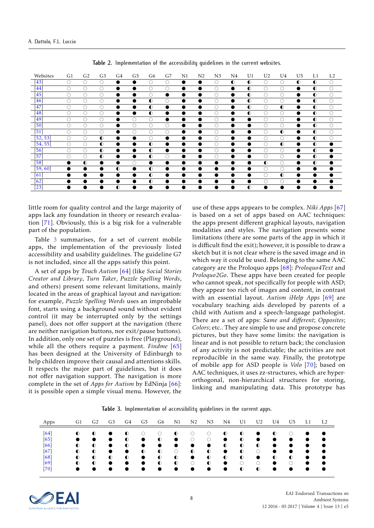<span id="page-7-0"></span>

| Websites           | G1 | G <sub>2</sub> | G <sub>3</sub> | G4        | G5        | G6        | G7        | $_{\rm N1}$ | N <sub>2</sub> | N <sub>3</sub> | N4        | U1        | U <sub>2</sub> | U4        | U <sub>5</sub> | L1        | L <sub>2</sub> |
|--------------------|----|----------------|----------------|-----------|-----------|-----------|-----------|-------------|----------------|----------------|-----------|-----------|----------------|-----------|----------------|-----------|----------------|
| [43]               | O  | O              | O              |           |           |           | O         | $\bullet$   | $\bullet$      | O              | $\bullet$ | $\bullet$ | O              | $\circ$   | $\bullet$      | $\bullet$ | O              |
| [44                | O  | 0              | O              |           | $\bullet$ |           | O         | $\bullet$   | $\bullet$      | С              | $\bullet$ | $\bullet$ | $\circ$        | $\circ$   | $\bullet$      | $\bullet$ | O              |
| $\sqrt{45}$        | C  | 0              | O              |           | $\bullet$ |           | $\bullet$ |             | $\bullet$      | С              | $\bullet$ | $\bullet$ | O              | O         |                | $\bullet$ | О              |
| [46]               | C  | ∩              | O              |           |           | $\bullet$ | 0         |             | $\bullet$      | C              | $\bullet$ | $\bullet$ | 0              | O         | $\bullet$      | $\bullet$ | Ó              |
| [47                | O  | O              | O              |           | ●         | $\bullet$ | $\bullet$ |             | $\bullet$      | O              | $\bullet$ | $\bullet$ | $\circ$        | $\bullet$ | $\bullet$      | $\bullet$ | O              |
| [48]               | C  | C              | O              |           |           | $\bullet$ | $\bullet$ |             | $\bullet$      | C              | $\bullet$ | $\bullet$ | $\circ$        | $\circ$   | $\bullet$      | $\bullet$ | O              |
| [49]               | ∩  | ∩              | O              |           | ∩         |           | $\bullet$ | 0           |                | С              | $\bullet$ |           | Ω              | $\circ$   | $\bullet$      | $\bullet$ | O              |
| 50                 | O  | 0              | O              |           | 0         | $\circ$   | $\circ$   | $\bullet$   | $\bullet$      | C              | $\bullet$ |           | O              | $\circ$   | $\bullet$      | $\bullet$ | O              |
| [51                | ∩  | 0              | O              |           | 0         | O         | O         | $\bullet$   | $\bullet$      | С              | $\bullet$ | ●         | O              | $\bullet$ | $\bullet$      | $\bullet$ | O              |
| [52, 53]           | O  | O              | $\bullet$      |           | $\bullet$ |           | $\bullet$ | $\bullet$   | $\bullet$      | C              | $\bullet$ | ●         | Ο              | $\circ$   |                | $\bullet$ | O              |
| [54, 55]           | O  | O              | $\bullet$      |           | ●         | $\bullet$ | $\bullet$ | $\bullet$   | $\bullet$      | O              | $\bullet$ | ●         | Ο              | $\bullet$ | $\bullet$      | $\bullet$ | $\bullet$      |
| [56]               | O  | O              | $\bullet$      |           |           | $\bullet$ | $\bullet$ | ●           | $\bullet$      | O              | $\bullet$ | ●         | $\circ$        | $\circ$   | ●              | $\bullet$ |                |
| [57]               | ◯  | ∩              | $\bullet$      |           | $\bullet$ | $\bullet$ | Ω         | $\bullet$   | $\bullet$      | C              | $\bullet$ | ●         | $\circ$        | $\circ$   |                | $\bullet$ | $\bullet$      |
| 58                 | 0  | $\bullet$      |                |           | O         | $\bullet$ | $\bullet$ |             | $\bullet$      | $\bullet$      |           |           | $\bullet$      | $\circ$   | $\bullet$      | $\bullet$ |                |
| [59, 60]           | ●  |                |                | $\bullet$ | $\bullet$ | $\bullet$ | $\bullet$ |             | $\bullet$      | $\bullet$      | $\bullet$ | $\bullet$ | $\circ$        | $\circ$   | $\bullet$      |           |                |
| $\lceil 61 \rceil$ |    | D              |                |           |           | $\bullet$ | $\bullet$ |             | $\bullet$      | $\bullet$      |           |           | O              | $\bullet$ |                |           |                |
| 62                 | œ  | 0              |                |           |           | $\bullet$ | $\bullet$ | $\bullet$   | $\bullet$      | $\bullet$      | $\bullet$ | $\bullet$ | O              | $\circ$   | ●              |           |                |
| 23                 | œ  | ●              |                | $\bullet$ |           | $\bullet$ |           |             | $\bullet$      | $\bullet$      | $\bullet$ | $\bullet$ | $\bullet$      | $\bullet$ |                |           |                |

**Table 2.** Implementation of the accessibility guidelines in the current websites.

little room for quality control and the large majority of apps lack any foundation in theory or research evaluation [\[71\]](#page-10-0). Obviously, this is a big risk for a vulnerable part of the population.

Table [3](#page-7-1) summarises, for a set of current mobile apps, the implementation of the previously listed accessibility and usability guidelines. The guideline G7 is not included, since all the apps satisfy this point.

A set of apps by *Touch Autism* [\[64\]](#page-9-41) (like *Social Stories Creator and Library*, *Turn Taker*, *Puzzle Spelling Words*, and others) present some relevant limitations, mainly located in the areas of graphical layout and navigation: for example, *Puzzle Spelling Words* uses an improbable font, starts using a background sound without evident control (it may be interrupted only by the settings panel), does not offer support at the navigation (there are neither navigation buttons, nor exit/pause buttons). In addition, only one set of puzzles is free (Playground), while all the others require a payment. *Findme* [\[65\]](#page-9-42) has been designed at the University of Edinburgh to help children improve their causal and attentions skills. It respects the major part of guidelines, but it does not offer navigation support. The navigation is more complete in the set of *Apps for Autism* by EdNinja [\[66\]](#page-9-43): it is possible open a simple visual menu. However, the use of these apps appears to be complex. *Niki Apps* [\[67\]](#page-9-44) is based on a set of apps based on AAC techniques: the apps present different graphical layouts, navigation modalities and styles. The navigation presents some limitations (there are some parts of the app in which it is difficult find the exit); however, it is possible to draw a sketch but it is not clear where is the saved image and in which way it could be used. Belonging to the same AAC category are the Proloquo apps [\[68\]](#page-9-45): *Proloquo4Text* and *Proloquo2Go*. These apps have been created for people who cannot speak, not specifically for people with ASD; they appear too rich of images and content, in contrast with an essential layout. *Autism iHelp Apps* [\[69\]](#page-10-1) are vocabulary teaching aids developed by parents of a child with Autism and a speech-language pathologist. There are a set of apps: *Same and different*; *Opposites*; *Colors*; etc.. They are simple to use and propose concrete pictures, but they have some limits: the navigation is linear and is not possible to return back; the conclusion of any activity is not predictable; the activities are not reproducible in the same way. Finally, the prototype of mobile app for ASD people is *Volo* [\[70\]](#page-10-2); based on AAC techniques, it uses zz-structures, which are hyperorthogonal, non-hierarchical structures for storing, linking and manipulating data. This prototype has

**Table 3.** Implementation of accessibility guidelines in the current apps.

<span id="page-7-1"></span>

| Apps | G1        | G <sub>2</sub> | G <sub>3</sub> | G4        | G5        | G6        | N1        | N <sub>2</sub> | N3        | N4        | U1        | U2        | U4        | U5        | L1 | L <sub>2</sub> |
|------|-----------|----------------|----------------|-----------|-----------|-----------|-----------|----------------|-----------|-----------|-----------|-----------|-----------|-----------|----|----------------|
| [64] | $\bullet$ | $\bullet$      |                | $\bullet$ |           |           | $\bullet$ |                | O         | $\bullet$ | $\bullet$ |           | $\bullet$ |           |    | $\bullet$      |
| [65] | $\bullet$ | $\bullet$      | $\bullet$      | $\bullet$ | $\bullet$ | $\bullet$ | $\bullet$ | O              | $\circ$   | $\bullet$ | $\bullet$ | $\bullet$ | $\bullet$ | $\bullet$ |    | $\bullet$      |
| [66] | $\bullet$ | $\bullet$      | $\bullet$      | $\bullet$ | $\bullet$ |           |           |                |           | $\bullet$ | $\bullet$ | $\bullet$ | $\bullet$ | $\bullet$ |    | $\bullet$      |
| [67] | $\bullet$ | $\bullet$      | $\bullet$      |           | $\bullet$ | $\bullet$ | О         | $\bullet$      | $\bullet$ | $\bullet$ | $\bullet$ |           | $\bullet$ |           |    | $\bullet$      |
| [68] | $\bullet$ | $\bullet$      | $\bullet$      | $\bullet$ | $\bullet$ | $\bullet$ | $\bullet$ | $\bullet$      | $\bullet$ | $\bullet$ | $\bullet$ |           | $\bullet$ | $\bullet$ |    | $\bullet$      |
| [69] | $\bullet$ | $\bullet$      | $\bullet$      |           | $\bullet$ | $\bullet$ | $\bullet$ | O              | $\bullet$ | $\bullet$ | O         |           | $\bullet$ |           |    | $\bullet$      |
| [70] | $\bullet$ |                |                |           |           |           |           |                |           | $\bullet$ | $\bullet$ | $\bullet$ | $\bullet$ | $\bullet$ |    | $\bullet$      |

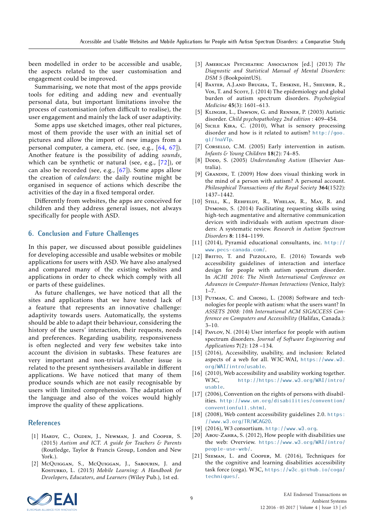been modelled in order to be accessible and usable, the aspects related to the user customisation and engagement could be improved.

Summarising, we note that most of the apps provide tools for editing and adding new and eventually personal data, but important limitations involve the process of customisation (often difficult to realise), the user engagement and mainly the lack of user adaptivity.

Some apps use sketched images, other real pictures, most of them provide the user with an initial set of pictures and allow the import of new images from a personal computer, a camera, etc. (see, e.g., [\[64,](#page-9-41) [67\]](#page-9-44)). Another feature is the possibility of adding *sounds*, which can be synthetic or natural (see, e.g., [\[72\]](#page-10-3)), or can also be recorded (see, e.g., [\[67\]](#page-9-44)). Some apps allow the creation of *calendars*: the daily routine might be organised in sequence of actions which describe the activities of the day in a fixed temporal order.

Differently from websites, the apps are conceived for children and they address general issues, not always specifically for people with ASD.

### <span id="page-8-2"></span>**6. Conclusion and Future Challenges**

In this paper, we discussed about possible guidelines for developing accessible and usable websites or mobile applications for users with ASD. We have also analysed and compared many of the existing websites and applications in order to check which comply with all or parts of these guidelines.

As future challenges, we have noticed that all the sites and applications that we have tested lack of a feature that represents an innovative challenge: adaptivity towards users. Automatically, the systems should be able to adapt their behaviour, considering the history of the users' interaction, their requests, needs and preferences. Regarding usability, responsiveness is often neglected and very few websites take into account the division in subtasks. These features are very important and non-trivial. Another issue is related to the present synthesisers available in different applications. We have noticed that many of them produce sounds which are not easily recognisable by users with limited comprehension. The adaptation of the language and also of the voices would highly improve the quality of these applications.

### **References**

- <span id="page-8-0"></span>[1] HARDY, C., OGDEN, J., NEWMAN, J. and COOPER, S. (2015) *Autism and ICT. A guide for Teachers & Parents* (Routledge, Taylor & Francis Group, London and New York.).
- <span id="page-8-1"></span>[2] McQuiggan, S., McQuiggan, J., Sabourin, J. and Kosturko, L. (2015) *Mobile Learning: A Handbook for Developers, Educators, and Learners* (Wiley Pub.), 1st ed.
- <span id="page-8-3"></span>[3] American Psychiatric Association [ed.] (2013) *The Diagnostic and Statistical Manual of Mental Disorders: DSM 5* (BookpointUS).
- <span id="page-8-4"></span>[4] Baxter, A.J.and Brugha, T., Erskine, H., Sheurer, R., Vos, T. and Scort, J. (2014) The epidemiology and global burden of autism spectrum disorders. *Psychological Medicine* 45(3): 1601–613.
- <span id="page-8-5"></span>[5] Klinger, L., Dawson, G. and Renner, P. (2003) Autistic disorder. *Child psychopathology 2nd edition* : 409–454.
- <span id="page-8-6"></span>[6] SICILE KIRA, C. (2010), What is sensory processing disorder and how is it related to autism? [http://goo.](http://goo.gl/1naVTp) [gl/1naVTp](http://goo.gl/1naVTp).
- <span id="page-8-7"></span>[7] CORSELLO, C.M. (2005) Early intervention in autism. *Infants & Young Children* 18(2): 74–85.
- <span id="page-8-8"></span>[8] Dopp, S. (2005) *Understanding Autism* (Elsevier Australia).
- <span id="page-8-9"></span>[9] GRANDIN, T. (2009) How does visual thinking work in the mind of a person with autism? A personal account. *Philosophical Transactions of the Royal Society* 364(1522): 1437–1442.
- <span id="page-8-10"></span>[10] STILL, K., REHFELDT, R., WHELAN, R., MAY, R. and DYMOND, S. (2014) Facilitating requesting skills using high-tech augmentative and alternative communication devices with individuals with autism spectrum disorders: A systematic review. *Research in Autism Spectrum Disorders* 8: 1184–1199.
- <span id="page-8-11"></span>[11] (2014), Pyramid educational consultants, inc. [http://](http://www.pecs-canada.com/) [www.pecs-canada.com/](http://www.pecs-canada.com/).
- <span id="page-8-12"></span>[12] BRITTO, T. and PIZZOLATO, E. (2016) Towards web accessibility guidelines of interaction and interface design for people with autism spectrum disorder. In *ACHI 2016: The Ninth International Conference on Advances in Computer-Human Interactions* (Venice, Italy):  $1 - 7$ .
- <span id="page-8-13"></span>[13] PUTMAN, C. and CHONG, L. (2008) Software and technologies for people with autism: what the users want? In *ASSETS 2008: 10th International ACM SIGACCESS Conference on Computers and Accessibility* (Halifax, Canada.): 3–10.
- <span id="page-8-14"></span>[14] PAVLOV, N. (2014) User interface for people with autism spectrum disorders. *Journal of Software Engineering and Applications* 7(2): 128 –134.
- <span id="page-8-15"></span>[15] (2016), Accessibility, usability, and inclusion: Related aspects of a web for all. W3C-WAI, [https://www.w3.](https://www.w3.org/WAI/intro/usable) [org/WAI/intro/usable](https://www.w3.org/WAI/intro/usable).
- <span id="page-8-16"></span>[16] (2010), Web accessibility and usability working together. W3C, [http://https://www.w3.org/WAI/intro/](http://https://www.w3.org/WAI/intro/usable) [usable](http://https://www.w3.org/WAI/intro/usable).
- <span id="page-8-17"></span>[17] (2006), Convention on the rights of persons with disabilities. [http://www.un.org/disabilities/convention/](http://www.un.org/disabilities/convention/conventionfull.shtml) [conventionfull.shtml](http://www.un.org/disabilities/convention/conventionfull.shtml).
- <span id="page-8-18"></span>[18] (2008), Web content accessibility guidelines 2.0. [https:](https://www.w3.org/TR/WCAG20) [//www.w3.org/TR/WCAG20](https://www.w3.org/TR/WCAG20).
- <span id="page-8-19"></span>[19] (2016), W3 consortium. <http://www.w3.org>.
- <span id="page-8-20"></span>[20] Abou-Zahra, S. (2012), How people with disabilities use the web: Overview. [https://www.w3.org/WAI/intro/](https://www.w3.org/WAI/intro/people-use-web/) [people-use-web/](https://www.w3.org/WAI/intro/people-use-web/).
- <span id="page-8-21"></span>[21] SEEMAN, L. and COOPER, M. (2016), Techniques for the the cognitive and learning disabilities accessibility task force (coga). W3C, [https://w3c.github.io/coga/](https://w3c.github.io/coga/techniques/) [techniques/](https://w3c.github.io/coga/techniques/).

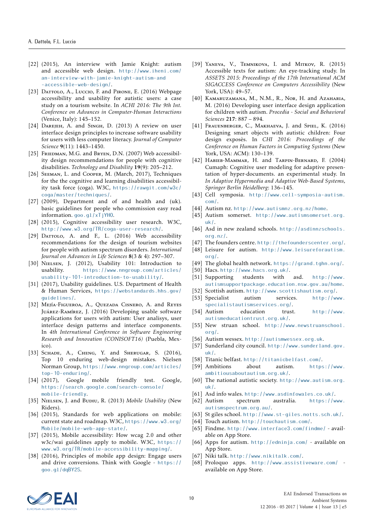- <span id="page-9-2"></span>[22] (2015), An interview with Jamie Knight: autism and accessible web design. [http://www.iheni.com/](http://www.iheni.com/an-interview-with-jamie-knight-autism-and) [an-interview-with-jamie-knight-autism-and](http://www.iheni.com/an-interview-with-jamie-knight-autism-and) <-accessible-web-design/>.
- <span id="page-9-16"></span>[23] DATTOLO, A., Luccio, F. and PIRONE, E. (2016) Webpage accessibility and usability for autistic users: a case study on a tourism website. In *ACHI 2016: The 9th Int. Conference on Advances in Computer-Human Interactions* (Venice, Italy): 145–152.
- <span id="page-9-14"></span>[24] DAREJEH, A. and SINGH, D. (2013) A review on user interface design principles to increase software usability for users with less computer literacy. *Journal of Computer Science* 9(11): 1443–1450.
- <span id="page-9-0"></span>[25] FRIEDMAN, M.G. and BRYEN, D.N. (2007) Web accessibility design recommendations for people with cognitive disabilities. *Technology and Disability* 19(9): 205–212.
- <span id="page-9-1"></span>[26] SEEMAN, L. and COOPER, M. (March, 2017), Techniques for the the cognitive and learning disabilities accessibility task force (coga). W3C, [https://rawgit.com/w3c/](https://rawgit.com/w3c/coga/master/techniques/) [coga/master/techniques/](https://rawgit.com/w3c/coga/master/techniques/).
- <span id="page-9-3"></span>[27] (2009), Department and of and health and (uk). basic guidelines for people who commission easy read information. <goo.gl/xTjYHO>.
- [28] (2015), Cognitive accessibility user research. W3C, <http://www.w3.org/TR/coga-user-research/>.
- <span id="page-9-4"></span>[29] DATTOLO, A. and F., L. (2016) Web accessibility recommendations for the design of tourism websites for people with autism spectrum disorders. *International Journal on Advances in Life Sciences* 8(3 & 4): 297–307.
- <span id="page-9-5"></span>[30] NIELSEN, J. (2012), Usability 101: Introduction to usability. [https://www.nngroup.com/articles/](https://www.nngroup.com/articles/usability-101-introduction-to-usability/) [usability-101-introduction-to-usability/](https://www.nngroup.com/articles/usability-101-introduction-to-usability/).
- <span id="page-9-6"></span>[31] (2017), Usability guidelines. U.S. Department of Health & Human Services, [https://webstandards.hhs.gov/](https://webstandards.hhs.gov/guidelines/) [guidelines/](https://webstandards.hhs.gov/guidelines/).
- <span id="page-9-7"></span>[32] Mejía-Figueroa, A., Ouezada Cisnero, A. and Reyes Juárez-Ramírez, J. (2016) Developing usable software applications for users with autism: User analisys, user interface design patterns and interface components. In *4th International Conference in Software Engineering Research and Innovation (CONISOFT16)* (Puebla, Mexico).
- <span id="page-9-8"></span>[33] SCHADE, A., CHENG, Y. and SHERUGAR, S. (2016), Top 10 enduring web-design mistakes. Nielsen Norman Group, [https://www.nngroup.com/articles/](https://www.nngroup.com/articles/top-10-enduring/) [top-10-enduring/](https://www.nngroup.com/articles/top-10-enduring/).
- <span id="page-9-9"></span>[34] (2017), Google mobile friendly test. Google, [https://search.google.com/search-console/](https://search.google.com/search-console/mobile-friendly ) [mobile-friendly](https://search.google.com/search-console/mobile-friendly ).
- <span id="page-9-10"></span>[35] NIELSEN, J. and BUDIU, R. (2013) *Mobile Usability* (New Riders).
- <span id="page-9-11"></span>[36] (2015), Standards for web applications on mobile: current state and roadmap. W3C, [https://www.w3.org/](https://www.w3.org/Mobile/mobile-web-app-state/) [Mobile/mobile-web-app-state/](https://www.w3.org/Mobile/mobile-web-app-state/).
- <span id="page-9-12"></span>[37] (2015), Mobile accessibility: How wcag 2.0 and other w3c/wai guidelines apply to mobile. W3C, [https://](https://www.w3.org/TR/mobile-accessibility-mapping/) [www.w3.org/TR/mobile-accessibility-mapping/](https://www.w3.org/TR/mobile-accessibility-mapping/).
- <span id="page-9-13"></span>[38] (2016), Principles of mobile app design: Engage users and drive conversions. Think with Google - [https://](https://goo.gl/dqBY2S) [goo.gl/dqBY2S](https://goo.gl/dqBY2S).
- <span id="page-9-15"></span>[39] Yaneva, V., Temnikova, I. and Mitkov, R. (2015) Accessible texts for autism: An eye-tracking study. In *ASSETS 2015: Proceedings of the 17th International ACM SIGACCESS Conference on Computers Accessibility* (New York, USA): 49–57.
- <span id="page-9-17"></span>[40] KAMARUZAMANA, M., N.M., R., Nor, H. and Azaharia, M. (2016) Developing user interface design application for children with autism. *Procedia - Social and Behavioral Sciences* 217: 887 – 894.
- <span id="page-9-18"></span>[41] FRAUENBERGER, C., MAKHAEVA, J. and SPIEL, K. (2016) Designing smart objects with autistic children: Four design exposès. In *CHI 2016: Proceedings of the Conference on Human Factors in Computing Systems* (New York, USA: ACM): 130–139.
- <span id="page-9-19"></span>[42] Habieb-Mammar, H. and Tarpin-Bernard, F. (2004) Cumaph: Cognitive user modeling for adaptive presentation of hyper-documents. an experimental study. In *In Adaptive Hypermedia and Adaptive Web-Based Systems, Springer Berlin Heidelberg*: 136–145.
- <span id="page-9-28"></span>[43] Cell symposia. [http://www.cell-symposia-autism.]( http://www.cell-symposia-autism.com/) [com/]( http://www.cell-symposia-autism.com/).
- <span id="page-9-35"></span>[44] Autism nz. <http://www.autismnz.org.nz/home>.
- <span id="page-9-29"></span>[45] Autism somerset. [http://www.autismsomerset.org.]( http://www.autismsomerset.org.uk/) [uk/]( http://www.autismsomerset.org.uk/).
- <span id="page-9-22"></span>[46] Asd in new zealand schools. [http://asdinnzschools.](http://asdinnzschools.org.nz/) [org.nz/](http://asdinnzschools.org.nz/).
- <span id="page-9-36"></span>[47] The founders centre. [http://thefounderscenter.org/]( http://thefounderscenter.org/).
- <span id="page-9-23"></span>[48] Leisure for autism. [http://www.leisureforautism.]( http://www.leisureforautism.org/) [org/]( http://www.leisureforautism.org/).
- <span id="page-9-26"></span>[49] The global health network. <https://grand.tghn.org/>.
- <span id="page-9-37"></span>[50] Hacs. <http://www.hacs.org.uk/>.
- <span id="page-9-27"></span>[51] Supporting students with asd. [http://www.](http://www.autismsupportpackage.education.nsw.gov.au/home) [autismsupportpackage.education.nsw.gov.au/home](http://www.autismsupportpackage.education.nsw.gov.au/home).
- <span id="page-9-20"></span>[52] Scottish autism. [http://www.scottishautism.org/]( http://www.scottishautism.org/).
- <span id="page-9-38"></span>[53] Specialist autism services. [http://www.]( http://www.specialistautismservices.org/) [specialistautismservices.org/]( http://www.specialistautismservices.org/).
- <span id="page-9-24"></span>[54] Autism education trust. [http://www.]( http://www.autismeducationtrust.org.uk/) [autismeducationtrust.org.uk/]( http://www.autismeducationtrust.org.uk/).
- <span id="page-9-39"></span>[55] New struan school. [http://www.newstruanschool.](http://www.newstruanschool.org/) [org/](http://www.newstruanschool.org/).
- <span id="page-9-40"></span>[56] Autism wessex. <http://autismwessex.org.uk>.
- <span id="page-9-21"></span>[57] Sunderland city council. [http://www.sunderland.gov.]( http://www.sunderland.gov.uk/) [uk/]( http://www.sunderland.gov.uk/).
- <span id="page-9-30"></span>[58] Titanic belfast. <http://titanicbelfast.com/>.
- <span id="page-9-31"></span>[59] Ambitions about autism. [https://www.](https://www.ambitiousaboutautism.org.uk/) [ambitiousaboutautism.org.uk/](https://www.ambitiousaboutautism.org.uk/).
- <span id="page-9-32"></span>[60] The national autistic society. [http://www.autism.org.](http://www.autism.org.uk/) [uk/](http://www.autism.org.uk/).
- <span id="page-9-33"></span>[61] Asd info wales. <http://www.asdinfowales.co.uk/>.
- <span id="page-9-34"></span>[62] Autism spectrum australia. [https://www.](https://www.autismspectrum.org.au/) [autismspectrum.org.au/](https://www.autismspectrum.org.au/).
- <span id="page-9-25"></span>[63] St giles school. [http://www.st-giles.notts.sch.uk/]( http://www.st-giles.notts.sch.uk/).
- <span id="page-9-41"></span>[64] Touch autism. <http://touchautism.com/>.
- <span id="page-9-42"></span>[65] Findme. <http://www.interface3.com/findme/> - available on App Store.
- <span id="page-9-43"></span>[66] Apps for autism. <http://edninja.com/> - available on App Store.
- <span id="page-9-44"></span>[67] Niki talk. <http://www.nikitalk.com/>.
- <span id="page-9-45"></span>[68] Proloquo apps. <http://www.assistiveware.com/> available on App Store.